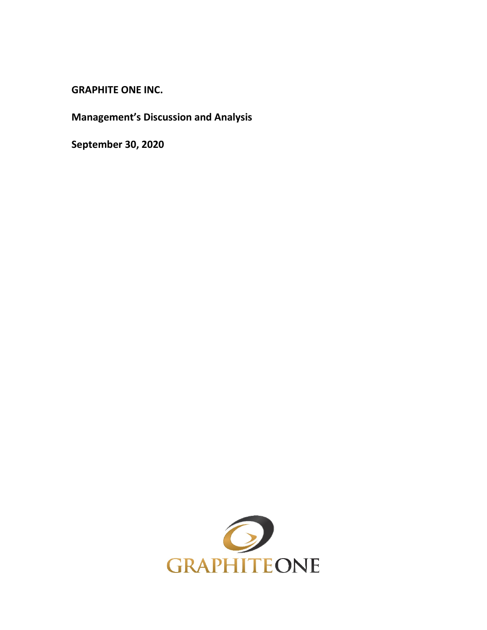**GRAPHITE ONE INC.**

**Management's Discussion and Analysis**

**September 30, 2020**

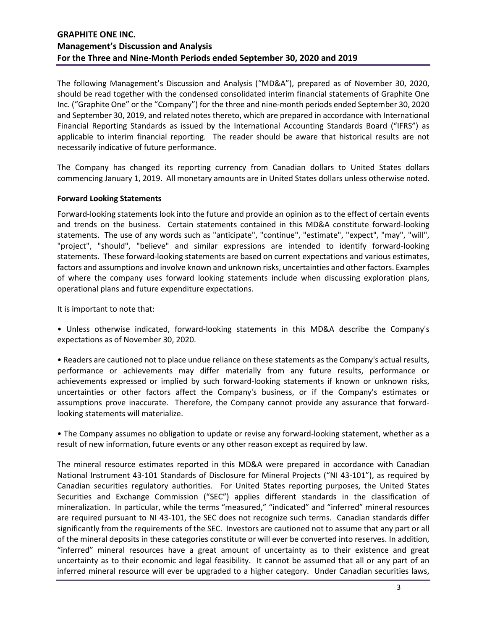The following Management's Discussion and Analysis ("MD&A"), prepared as of November 30, 2020, should be read together with the condensed consolidated interim financial statements of Graphite One Inc. ("Graphite One" or the "Company") for the three and nine-month periods ended September 30, 2020 and September 30, 2019, and related notes thereto, which are prepared in accordance with International Financial Reporting Standards as issued by the International Accounting Standards Board ("IFRS") as applicable to interim financial reporting. The reader should be aware that historical results are not necessarily indicative of future performance.

The Company has changed its reporting currency from Canadian dollars to United States dollars commencing January 1, 2019. All monetary amounts are in United States dollars unless otherwise noted.

#### **Forward Looking Statements**

Forward-looking statements look into the future and provide an opinion as to the effect of certain events and trends on the business. Certain statements contained in this MD&A constitute forward-looking statements. The use of any words such as "anticipate", "continue", "estimate", "expect", "may", "will", "project", "should", "believe" and similar expressions are intended to identify forward-looking statements. These forward-looking statements are based on current expectations and various estimates, factors and assumptions and involve known and unknown risks, uncertainties and other factors. Examples of where the company uses forward looking statements include when discussing exploration plans, operational plans and future expenditure expectations.

It is important to note that:

• Unless otherwise indicated, forward-looking statements in this MD&A describe the Company's expectations as of November 30, 2020.

• Readers are cautioned not to place undue reliance on these statements as the Company's actual results, performance or achievements may differ materially from any future results, performance or achievements expressed or implied by such forward-looking statements if known or unknown risks, uncertainties or other factors affect the Company's business, or if the Company's estimates or assumptions prove inaccurate. Therefore, the Company cannot provide any assurance that forwardlooking statements will materialize.

• The Company assumes no obligation to update or revise any forward-looking statement, whether as a result of new information, future events or any other reason except as required by law.

The mineral resource estimates reported in this MD&A were prepared in accordance with Canadian National Instrument 43-101 Standards of Disclosure for Mineral Projects ("NI 43-101"), as required by Canadian securities regulatory authorities. For United States reporting purposes, the United States Securities and Exchange Commission ("SEC") applies different standards in the classification of mineralization. In particular, while the terms "measured," "indicated" and "inferred" mineral resources are required pursuant to NI 43-101, the SEC does not recognize such terms. Canadian standards differ significantly from the requirements of the SEC. Investors are cautioned not to assume that any part or all of the mineral deposits in these categories constitute or will ever be converted into reserves. In addition, "inferred" mineral resources have a great amount of uncertainty as to their existence and great uncertainty as to their economic and legal feasibility. It cannot be assumed that all or any part of an inferred mineral resource will ever be upgraded to a higher category. Under Canadian securities laws,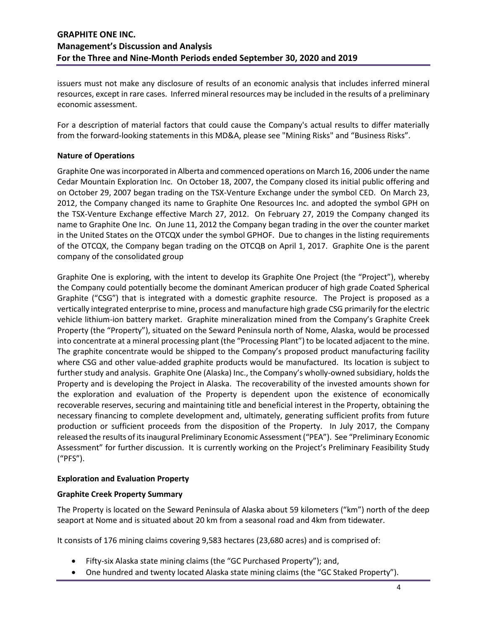issuers must not make any disclosure of results of an economic analysis that includes inferred mineral resources, except in rare cases. Inferred mineral resources may be included in the results of a preliminary economic assessment.

For a description of material factors that could cause the Company's actual results to differ materially from the forward-looking statements in this MD&A, please see "Mining Risks" and "Business Risks".

### **Nature of Operations**

Graphite One was incorporated in Alberta and commenced operations on March 16, 2006 under the name Cedar Mountain Exploration Inc. On October 18, 2007, the Company closed its initial public offering and on October 29, 2007 began trading on the TSX-Venture Exchange under the symbol CED. On March 23, 2012, the Company changed its name to Graphite One Resources Inc. and adopted the symbol GPH on the TSX-Venture Exchange effective March 27, 2012. On February 27, 2019 the Company changed its name to Graphite One Inc. On June 11, 2012 the Company began trading in the over the counter market in the United States on the OTCQX under the symbol GPHOF. Due to changes in the listing requirements of the OTCQX, the Company began trading on the OTCQB on April 1, 2017. Graphite One is the parent company of the consolidated group

Graphite One is exploring, with the intent to develop its Graphite One Project (the "Project"), whereby the Company could potentially become the dominant American producer of high grade Coated Spherical Graphite ("CSG") that is integrated with a domestic graphite resource. The Project is proposed as a vertically integrated enterprise to mine, process and manufacture high grade CSG primarily for the electric vehicle lithium-ion battery market. Graphite mineralization mined from the Company's Graphite Creek Property (the "Property"), situated on the Seward Peninsula north of Nome, Alaska, would be processed into concentrate at a mineral processing plant (the "Processing Plant") to be located adjacent to the mine. The graphite concentrate would be shipped to the Company's proposed product manufacturing facility where CSG and other value-added graphite products would be manufactured. Its location is subject to further study and analysis. Graphite One (Alaska) Inc., the Company's wholly-owned subsidiary, holds the Property and is developing the Project in Alaska. The recoverability of the invested amounts shown for the exploration and evaluation of the Property is dependent upon the existence of economically recoverable reserves, securing and maintaining title and beneficial interest in the Property, obtaining the necessary financing to complete development and, ultimately, generating sufficient profits from future production or sufficient proceeds from the disposition of the Property. In July 2017, the Company released the results of its inaugural Preliminary Economic Assessment ("PEA"). See "Preliminary Economic Assessment" for further discussion. It is currently working on the Project's Preliminary Feasibility Study ("PFS").

#### **Exploration and Evaluation Property**

#### **Graphite Creek Property Summary**

The Property is located on the Seward Peninsula of Alaska about 59 kilometers ("km") north of the deep seaport at Nome and is situated about 20 km from a seasonal road and 4km from tidewater.

It consists of 176 mining claims covering 9,583 hectares (23,680 acres) and is comprised of:

- Fifty-six Alaska state mining claims (the "GC Purchased Property"); and,
- One hundred and twenty located Alaska state mining claims (the "GC Staked Property").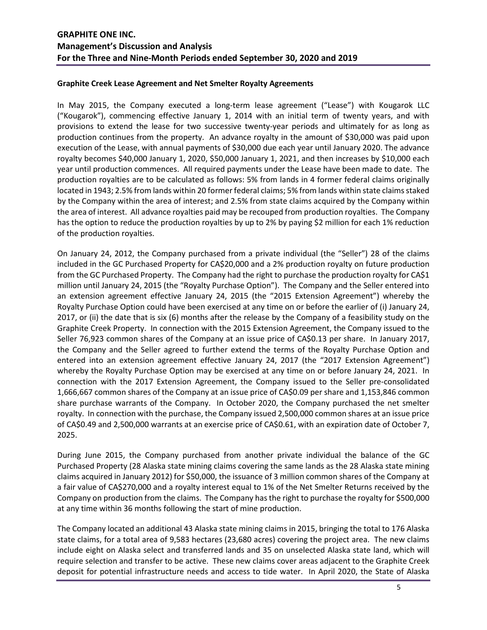#### **Graphite Creek Lease Agreement and Net Smelter Royalty Agreements**

In May 2015, the Company executed a long-term lease agreement ("Lease") with Kougarok LLC ("Kougarok"), commencing effective January 1, 2014 with an initial term of twenty years, and with provisions to extend the lease for two successive twenty-year periods and ultimately for as long as production continues from the property. An advance royalty in the amount of \$30,000 was paid upon execution of the Lease, with annual payments of \$30,000 due each year until January 2020. The advance royalty becomes \$40,000 January 1, 2020, \$50,000 January 1, 2021, and then increases by \$10,000 each year until production commences. All required payments under the Lease have been made to date. The production royalties are to be calculated as follows: 5% from lands in 4 former federal claims originally located in 1943; 2.5% from lands within 20 former federal claims; 5% from lands within state claims staked by the Company within the area of interest; and 2.5% from state claims acquired by the Company within the area of interest. All advance royalties paid may be recouped from production royalties. The Company has the option to reduce the production royalties by up to 2% by paying \$2 million for each 1% reduction of the production royalties.

On January 24, 2012, the Company purchased from a private individual (the "Seller") 28 of the claims included in the GC Purchased Property for CA\$20,000 and a 2% production royalty on future production from the GC Purchased Property. The Company had the right to purchase the production royalty for CA\$1 million until January 24, 2015 (the "Royalty Purchase Option"). The Company and the Seller entered into an extension agreement effective January 24, 2015 (the "2015 Extension Agreement") whereby the Royalty Purchase Option could have been exercised at any time on or before the earlier of (i) January 24, 2017, or (ii) the date that is six (6) months after the release by the Company of a feasibility study on the Graphite Creek Property. In connection with the 2015 Extension Agreement, the Company issued to the Seller 76,923 common shares of the Company at an issue price of CA\$0.13 per share. In January 2017, the Company and the Seller agreed to further extend the terms of the Royalty Purchase Option and entered into an extension agreement effective January 24, 2017 (the "2017 Extension Agreement") whereby the Royalty Purchase Option may be exercised at any time on or before January 24, 2021. In connection with the 2017 Extension Agreement, the Company issued to the Seller pre-consolidated 1,666,667 common shares of the Company at an issue price of CA\$0.09 per share and 1,153,846 common share purchase warrants of the Company. In October 2020, the Company purchased the net smelter royalty. In connection with the purchase, the Company issued 2,500,000 common shares at an issue price of CA\$0.49 and 2,500,000 warrants at an exercise price of CA\$0.61, with an expiration date of October 7, 2025.

During June 2015, the Company purchased from another private individual the balance of the GC Purchased Property (28 Alaska state mining claims covering the same lands as the 28 Alaska state mining claims acquired in January 2012) for \$50,000, the issuance of 3 million common shares of the Company at a fair value of CA\$270,000 and a royalty interest equal to 1% of the Net Smelter Returns received by the Company on production from the claims. The Company has the right to purchase the royalty for \$500,000 at any time within 36 months following the start of mine production.

The Company located an additional 43 Alaska state mining claims in 2015, bringing the total to 176 Alaska state claims, for a total area of 9,583 hectares (23,680 acres) covering the project area. The new claims include eight on Alaska select and transferred lands and 35 on unselected Alaska state land, which will require selection and transfer to be active. These new claims cover areas adjacent to the Graphite Creek deposit for potential infrastructure needs and access to tide water. In April 2020, the State of Alaska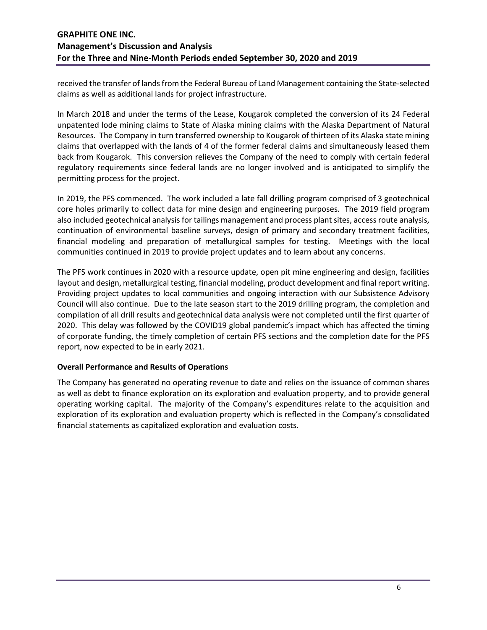received the transfer of lands from the Federal Bureau of Land Management containing the State-selected claims as well as additional lands for project infrastructure.

In March 2018 and under the terms of the Lease, Kougarok completed the conversion of its 24 Federal unpatented lode mining claims to State of Alaska mining claims with the Alaska Department of Natural Resources. The Company in turn transferred ownership to Kougarok of thirteen of its Alaska state mining claims that overlapped with the lands of 4 of the former federal claims and simultaneously leased them back from Kougarok. This conversion relieves the Company of the need to comply with certain federal regulatory requirements since federal lands are no longer involved and is anticipated to simplify the permitting process for the project.

In 2019, the PFS commenced. The work included a late fall drilling program comprised of 3 geotechnical core holes primarily to collect data for mine design and engineering purposes. The 2019 field program also included geotechnical analysis for tailings management and process plant sites, access route analysis, continuation of environmental baseline surveys, design of primary and secondary treatment facilities, financial modeling and preparation of metallurgical samples for testing. Meetings with the local communities continued in 2019 to provide project updates and to learn about any concerns.

The PFS work continues in 2020 with a resource update, open pit mine engineering and design, facilities layout and design, metallurgical testing, financial modeling, product development and final report writing. Providing project updates to local communities and ongoing interaction with our Subsistence Advisory Council will also continue. Due to the late season start to the 2019 drilling program, the completion and compilation of all drill results and geotechnical data analysis were not completed until the first quarter of 2020. This delay was followed by the COVID19 global pandemic's impact which has affected the timing of corporate funding, the timely completion of certain PFS sections and the completion date for the PFS report, now expected to be in early 2021.

## **Overall Performance and Results of Operations**

The Company has generated no operating revenue to date and relies on the issuance of common shares as well as debt to finance exploration on its exploration and evaluation property, and to provide general operating working capital. The majority of the Company's expenditures relate to the acquisition and exploration of its exploration and evaluation property which is reflected in the Company's consolidated financial statements as capitalized exploration and evaluation costs.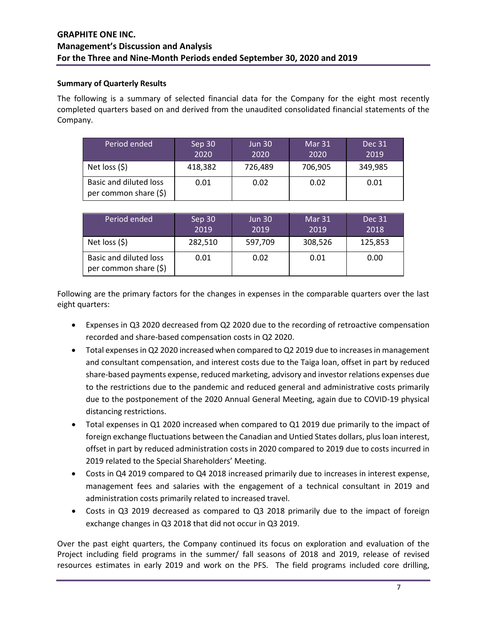### **Summary of Quarterly Results**

The following is a summary of selected financial data for the Company for the eight most recently completed quarters based on and derived from the unaudited consolidated financial statements of the Company.

| Period ended                                           | Sep 30<br>2020 | <b>Jun 30</b><br>2020 | Mar 31<br>2020 | Dec 31<br>2019 |
|--------------------------------------------------------|----------------|-----------------------|----------------|----------------|
| Net loss $(5)$                                         | 418,382        | 726,489               | 706,905        | 349,985        |
| <b>Basic and diluted loss</b><br>per common share (\$) | 0.01           | 0.02                  | 0.02           | 0.01           |

| Period ended                                    | Sep 30<br>2019 | <b>Jun 30</b><br>2019 | Mar 31<br>2019 | Dec 31<br>2018 |
|-------------------------------------------------|----------------|-----------------------|----------------|----------------|
| Net loss $(5)$                                  | 282,510        | 597,709               | 308,526        | 125,853        |
| Basic and diluted loss<br>per common share (\$) | 0.01           | 0.02                  | 0.01           | 0.00           |

Following are the primary factors for the changes in expenses in the comparable quarters over the last eight quarters:

- Expenses in Q3 2020 decreased from Q2 2020 due to the recording of retroactive compensation recorded and share-based compensation costs in Q2 2020.
- Total expenses in Q2 2020 increased when compared to Q2 2019 due to increases in management and consultant compensation, and interest costs due to the Taiga loan, offset in part by reduced share-based payments expense, reduced marketing, advisory and investor relations expenses due to the restrictions due to the pandemic and reduced general and administrative costs primarily due to the postponement of the 2020 Annual General Meeting, again due to COVID-19 physical distancing restrictions.
- Total expenses in Q1 2020 increased when compared to Q1 2019 due primarily to the impact of foreign exchange fluctuations between the Canadian and Untied States dollars, plus loan interest, offset in part by reduced administration costs in 2020 compared to 2019 due to costs incurred in 2019 related to the Special Shareholders' Meeting.
- Costs in Q4 2019 compared to Q4 2018 increased primarily due to increases in interest expense, management fees and salaries with the engagement of a technical consultant in 2019 and administration costs primarily related to increased travel.
- Costs in Q3 2019 decreased as compared to Q3 2018 primarily due to the impact of foreign exchange changes in Q3 2018 that did not occur in Q3 2019.

Over the past eight quarters, the Company continued its focus on exploration and evaluation of the Project including field programs in the summer/ fall seasons of 2018 and 2019, release of revised resources estimates in early 2019 and work on the PFS. The field programs included core drilling,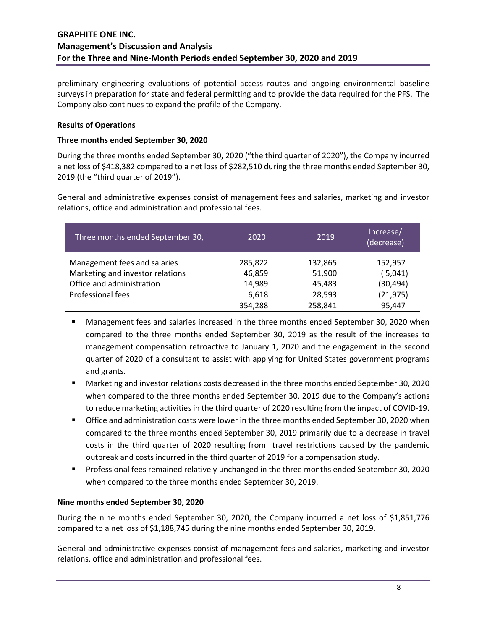preliminary engineering evaluations of potential access routes and ongoing environmental baseline surveys in preparation for state and federal permitting and to provide the data required for the PFS. The Company also continues to expand the profile of the Company.

### **Results of Operations**

### **Three months ended September 30, 2020**

During the three months ended September 30, 2020 ("the third quarter of 2020"), the Company incurred a net loss of \$418,382 compared to a net loss of \$282,510 during the three months ended September 30, 2019 (the "third quarter of 2019").

General and administrative expenses consist of management fees and salaries, marketing and investor relations, office and administration and professional fees.

| Three months ended September 30, | 2020    | 2019    | Increase/<br>(decrease) |
|----------------------------------|---------|---------|-------------------------|
| Management fees and salaries     | 285,822 | 132,865 | 152,957                 |
| Marketing and investor relations | 46,859  | 51,900  | (5,041)                 |
| Office and administration        | 14,989  | 45,483  | (30, 494)               |
| Professional fees                | 6,618   | 28,593  | (21, 975)               |
|                                  | 354,288 | 258,841 | 95,447                  |

- Management fees and salaries increased in the three months ended September 30, 2020 when compared to the three months ended September 30, 2019 as the result of the increases to management compensation retroactive to January 1, 2020 and the engagement in the second quarter of 2020 of a consultant to assist with applying for United States government programs and grants.
- Marketing and investor relations costs decreased in the three months ended September 30, 2020 when compared to the three months ended September 30, 2019 due to the Company's actions to reduce marketing activities in the third quarter of 2020 resulting from the impact of COVID-19.
- Office and administration costs were lower in the three months ended September 30, 2020 when compared to the three months ended September 30, 2019 primarily due to a decrease in travel costs in the third quarter of 2020 resulting from travel restrictions caused by the pandemic outbreak and costs incurred in the third quarter of 2019 for a compensation study.
- Professional fees remained relatively unchanged in the three months ended September 30, 2020 when compared to the three months ended September 30, 2019.

#### **Nine months ended September 30, 2020**

During the nine months ended September 30, 2020, the Company incurred a net loss of \$1,851,776 compared to a net loss of \$1,188,745 during the nine months ended September 30, 2019.

General and administrative expenses consist of management fees and salaries, marketing and investor relations, office and administration and professional fees.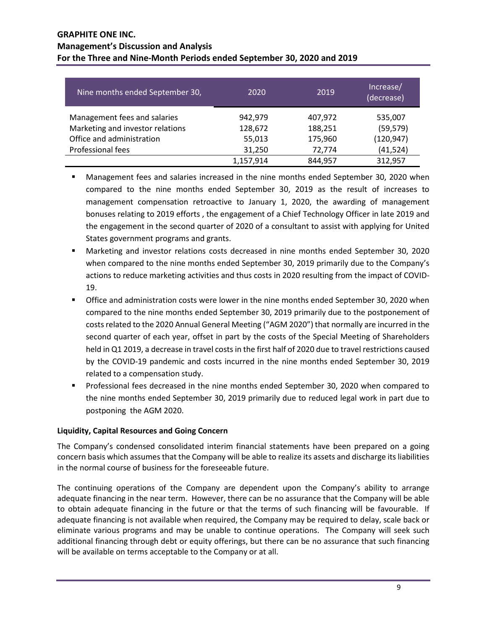| Nine months ended September 30,  | 2020      | 2019    | Increase/<br>(decrease) |
|----------------------------------|-----------|---------|-------------------------|
| Management fees and salaries     | 942,979   | 407,972 | 535,007                 |
| Marketing and investor relations | 128,672   | 188,251 | (59, 579)               |
| Office and administration        | 55,013    | 175,960 | (120, 947)              |
| Professional fees                | 31,250    | 72,774  | (41,524)                |
|                                  | 1,157,914 | 844,957 | 312,957                 |

- Management fees and salaries increased in the nine months ended September 30, 2020 when compared to the nine months ended September 30, 2019 as the result of increases to management compensation retroactive to January 1, 2020, the awarding of management bonuses relating to 2019 efforts , the engagement of a Chief Technology Officer in late 2019 and the engagement in the second quarter of 2020 of a consultant to assist with applying for United States government programs and grants.
- Marketing and investor relations costs decreased in nine months ended September 30, 2020 when compared to the nine months ended September 30, 2019 primarily due to the Company's actions to reduce marketing activities and thus costs in 2020 resulting from the impact of COVID-19.
- **The Strata and administration costs were lower in the nine months ended September 30, 2020 when** compared to the nine months ended September 30, 2019 primarily due to the postponement of costs related to the 2020 Annual General Meeting ("AGM 2020") that normally are incurred in the second quarter of each year, offset in part by the costs of the Special Meeting of Shareholders held in Q1 2019, a decrease in travel costs in the first half of 2020 due to travel restrictions caused by the COVID-19 pandemic and costs incurred in the nine months ended September 30, 2019 related to a compensation study.
- Professional fees decreased in the nine months ended September 30, 2020 when compared to the nine months ended September 30, 2019 primarily due to reduced legal work in part due to postponing the AGM 2020.

# **Liquidity, Capital Resources and Going Concern**

The Company's condensed consolidated interim financial statements have been prepared on a going concern basis which assumes that the Company will be able to realize its assets and discharge its liabilities in the normal course of business for the foreseeable future.

The continuing operations of the Company are dependent upon the Company's ability to arrange adequate financing in the near term. However, there can be no assurance that the Company will be able to obtain adequate financing in the future or that the terms of such financing will be favourable. If adequate financing is not available when required, the Company may be required to delay, scale back or eliminate various programs and may be unable to continue operations. The Company will seek such additional financing through debt or equity offerings, but there can be no assurance that such financing will be available on terms acceptable to the Company or at all.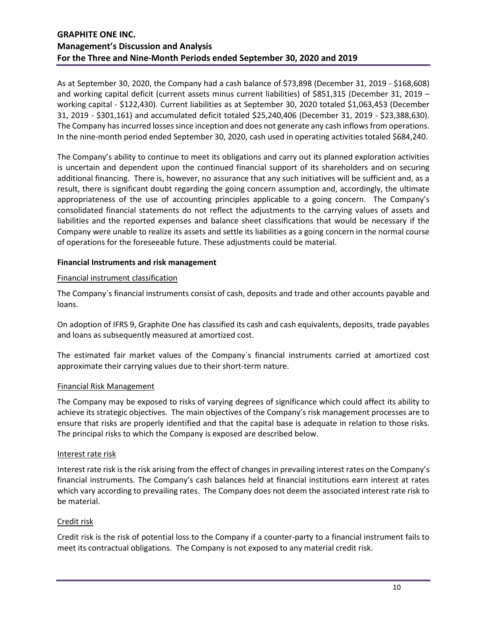As at September 30, 2020, the Company had a cash balance of \$73,898 (December 31, 2019 - \$168,608) and working capital deficit (current assets minus current liabilities) of \$851,315 (December 31, 2019 – working capital - \$122,430). Current liabilities as at September 30, 2020 totaled \$1,063,453 (December 31, 2019 - \$301,161) and accumulated deficit totaled \$25,240,406 (December 31, 2019 - \$23,388,630). The Company has incurred losses since inception and does not generate any cash inflows from operations. In the nine-month period ended September 30, 2020, cash used in operating activities totaled \$684,240.

The Company's ability to continue to meet its obligations and carry out its planned exploration activities is uncertain and dependent upon the continued financial support of its shareholders and on securing additional financing. There is, however, no assurance that any such initiatives will be sufficient and, as a result, there is significant doubt regarding the going concern assumption and, accordingly, the ultimate appropriateness of the use of accounting principles applicable to a going concern. The Company's consolidated financial statements do not reflect the adjustments to the carrying values of assets and liabilities and the reported expenses and balance sheet classifications that would be necessary if the Company were unable to realize its assets and settle its liabilities as a going concern in the normal course of operations for the foreseeable future. These adjustments could be material.

### **Financial Instruments and risk management**

### Financial instrument classification

The Company`s financial instruments consist of cash, deposits and trade and other accounts payable and loans.

On adoption of IFRS 9, Graphite One has classified its cash and cash equivalents, deposits, trade payables and loans as subsequently measured at amortized cost.

The estimated fair market values of the Company`s financial instruments carried at amortized cost approximate their carrying values due to their short-term nature.

#### Financial Risk Management

The Company may be exposed to risks of varying degrees of significance which could affect its ability to achieve its strategic objectives. The main objectives of the Company's risk management processes are to ensure that risks are properly identified and that the capital base is adequate in relation to those risks. The principal risks to which the Company is exposed are described below.

#### Interest rate risk

Interest rate risk is the risk arising from the effect of changes in prevailing interest rates on the Company's financial instruments. The Company's cash balances held at financial institutions earn interest at rates which vary according to prevailing rates. The Company does not deem the associated interest rate risk to be material.

#### Credit risk

Credit risk is the risk of potential loss to the Company if a counter-party to a financial instrument fails to meet its contractual obligations. The Company is not exposed to any material credit risk.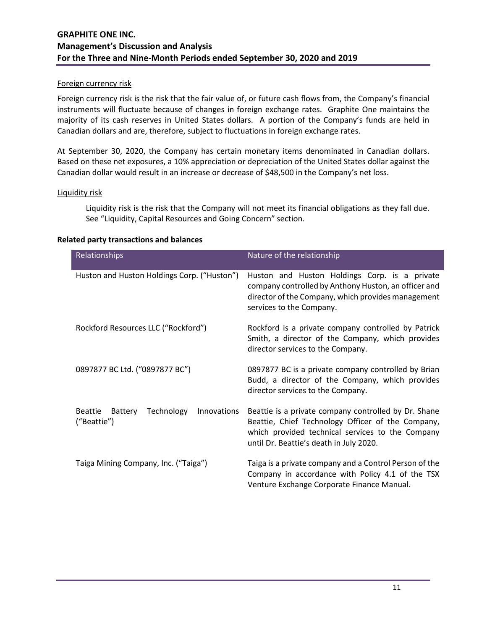#### Foreign currency risk

Foreign currency risk is the risk that the fair value of, or future cash flows from, the Company's financial instruments will fluctuate because of changes in foreign exchange rates. Graphite One maintains the majority of its cash reserves in United States dollars. A portion of the Company's funds are held in Canadian dollars and are, therefore, subject to fluctuations in foreign exchange rates.

At September 30, 2020, the Company has certain monetary items denominated in Canadian dollars. Based on these net exposures, a 10% appreciation or depreciation of the United States dollar against the Canadian dollar would result in an increase or decrease of \$48,500 in the Company's net loss.

#### Liquidity risk

Liquidity risk is the risk that the Company will not meet its financial obligations as they fall due. See "Liquidity, Capital Resources and Going Concern" section.

#### **Related party transactions and balances**

| Relationships                                                         | Nature of the relationship                                                                                                                                                                               |  |  |  |
|-----------------------------------------------------------------------|----------------------------------------------------------------------------------------------------------------------------------------------------------------------------------------------------------|--|--|--|
| Huston and Huston Holdings Corp. ("Huston")                           | Huston and Huston Holdings Corp. is a private<br>company controlled by Anthony Huston, an officer and<br>director of the Company, which provides management<br>services to the Company.                  |  |  |  |
| Rockford Resources LLC ("Rockford")                                   | Rockford is a private company controlled by Patrick<br>Smith, a director of the Company, which provides<br>director services to the Company.                                                             |  |  |  |
| 0897877 BC Ltd. ("0897877 BC")                                        | 0897877 BC is a private company controlled by Brian<br>Budd, a director of the Company, which provides<br>director services to the Company.                                                              |  |  |  |
| Technology<br><b>Beattie</b><br>Battery<br>Innovations<br>("Beattie") | Beattie is a private company controlled by Dr. Shane<br>Beattie, Chief Technology Officer of the Company,<br>which provided technical services to the Company<br>until Dr. Beattie's death in July 2020. |  |  |  |
| Taiga Mining Company, Inc. ("Taiga")                                  | Taiga is a private company and a Control Person of the<br>Company in accordance with Policy 4.1 of the TSX<br>Venture Exchange Corporate Finance Manual.                                                 |  |  |  |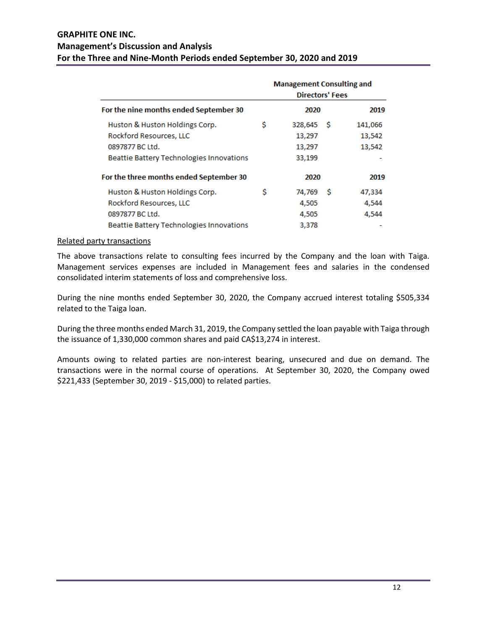| For the nine months ended September 30   |    | <b>Management Consulting and</b><br><b>Directors' Fees</b> |         |  |
|------------------------------------------|----|------------------------------------------------------------|---------|--|
|                                          |    | 2020                                                       | 2019    |  |
| Huston & Huston Holdings Corp.           | \$ | 328,645<br>-S                                              | 141,066 |  |
| Rockford Resources, LLC                  |    | 13,297                                                     | 13,542  |  |
| 0897877 BC Ltd.                          |    | 13,297                                                     | 13,542  |  |
| Beattie Battery Technologies Innovations |    | 33,199                                                     |         |  |
| For the three months ended September 30  |    | 2020                                                       | 2019    |  |
| Huston & Huston Holdings Corp.           | Ś  | 74.769<br>S                                                | 47,334  |  |
| Rockford Resources, LLC                  |    | 4,505                                                      | 4,544   |  |
| 0897877 BC Ltd.                          |    | 4,505                                                      | 4,544   |  |
| Beattie Battery Technologies Innovations |    | 3,378                                                      |         |  |

#### Related party transactions

The above transactions relate to consulting fees incurred by the Company and the loan with Taiga. Management services expenses are included in Management fees and salaries in the condensed consolidated interim statements of loss and comprehensive loss.

During the nine months ended September 30, 2020, the Company accrued interest totaling \$505,334 related to the Taiga loan.

During the three months ended March 31, 2019, the Company settled the loan payable with Taiga through the issuance of 1,330,000 common shares and paid CA\$13,274 in interest.

Amounts owing to related parties are non-interest bearing, unsecured and due on demand. The transactions were in the normal course of operations. At September 30, 2020, the Company owed \$221,433 (September 30, 2019 - \$15,000) to related parties.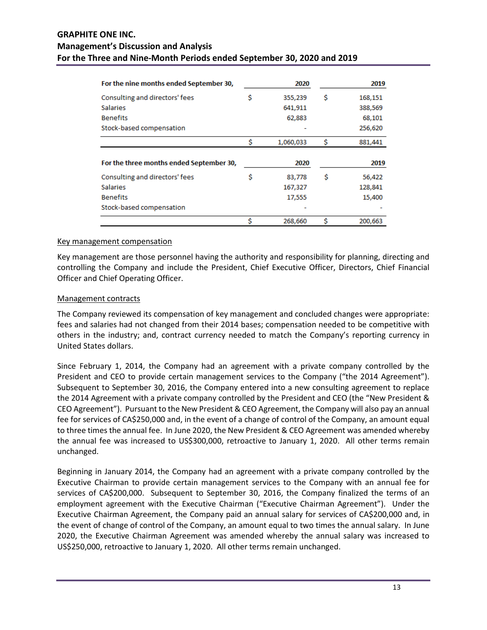| For the nine months ended September 30,  |    | 2020      |   | 2019    |
|------------------------------------------|----|-----------|---|---------|
| Consulting and directors' fees           | \$ | 355,239   | Ŝ | 168,151 |
| <b>Salaries</b>                          |    | 641,911   |   | 388,569 |
| <b>Benefits</b>                          |    | 62,883    |   | 68,101  |
| Stock-based compensation                 |    |           |   | 256,620 |
|                                          | Ś  | 1,060,033 | Ŝ | 881,441 |
| For the three months ended September 30, |    | 2020      |   | 2019    |
| Consulting and directors' fees           | Ś  | 83,778    | Ŝ | 56,422  |
| <b>Salaries</b>                          |    | 167,327   |   | 128,841 |
| <b>Benefits</b>                          |    | 17,555    |   | 15,400  |
| Stock-based compensation                 |    |           |   |         |
|                                          |    | 268,660   | Ś | 200,663 |

#### Key management compensation

Key management are those personnel having the authority and responsibility for planning, directing and controlling the Company and include the President, Chief Executive Officer, Directors, Chief Financial Officer and Chief Operating Officer.

#### Management contracts

The Company reviewed its compensation of key management and concluded changes were appropriate: fees and salaries had not changed from their 2014 bases; compensation needed to be competitive with others in the industry; and, contract currency needed to match the Company's reporting currency in United States dollars.

Since February 1, 2014, the Company had an agreement with a private company controlled by the President and CEO to provide certain management services to the Company ("the 2014 Agreement"). Subsequent to September 30, 2016, the Company entered into a new consulting agreement to replace the 2014 Agreement with a private company controlled by the President and CEO (the "New President & CEO Agreement"). Pursuant to the New President & CEO Agreement, the Company will also pay an annual fee for services of CA\$250,000 and, in the event of a change of control of the Company, an amount equal to three times the annual fee. In June 2020, the New President & CEO Agreement was amended whereby the annual fee was increased to US\$300,000, retroactive to January 1, 2020. All other terms remain unchanged.

Beginning in January 2014, the Company had an agreement with a private company controlled by the Executive Chairman to provide certain management services to the Company with an annual fee for services of CA\$200,000. Subsequent to September 30, 2016, the Company finalized the terms of an employment agreement with the Executive Chairman ("Executive Chairman Agreement"). Under the Executive Chairman Agreement, the Company paid an annual salary for services of CA\$200,000 and, in the event of change of control of the Company, an amount equal to two times the annual salary. In June 2020, the Executive Chairman Agreement was amended whereby the annual salary was increased to US\$250,000, retroactive to January 1, 2020. All other terms remain unchanged.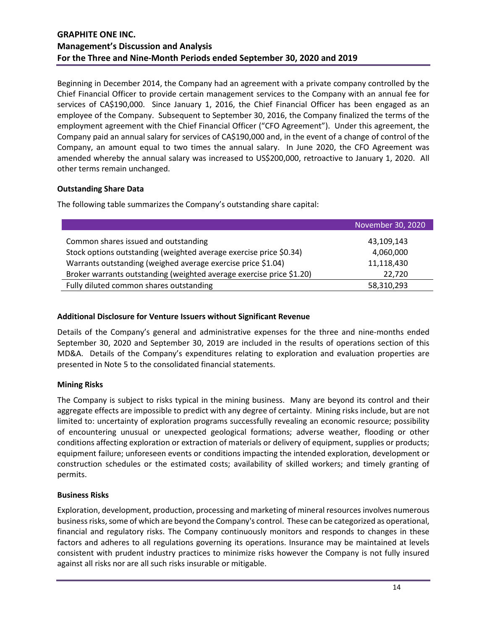Beginning in December 2014, the Company had an agreement with a private company controlled by the Chief Financial Officer to provide certain management services to the Company with an annual fee for services of CA\$190,000. Since January 1, 2016, the Chief Financial Officer has been engaged as an employee of the Company. Subsequent to September 30, 2016, the Company finalized the terms of the employment agreement with the Chief Financial Officer ("CFO Agreement"). Under this agreement, the Company paid an annual salary for services of CA\$190,000 and, in the event of a change of control of the Company, an amount equal to two times the annual salary. In June 2020, the CFO Agreement was amended whereby the annual salary was increased to US\$200,000, retroactive to January 1, 2020. All other terms remain unchanged.

## **Outstanding Share Data**

The following table summarizes the Company's outstanding share capital:

| November 30, 2020 |
|-------------------|
| 43,109,143        |
| 4,060,000         |
| 11,118,430        |
| 22,720            |
| 58,310,293        |
|                   |

## **Additional Disclosure for Venture Issuers without Significant Revenue**

Details of the Company's general and administrative expenses for the three and nine-months ended September 30, 2020 and September 30, 2019 are included in the results of operations section of this MD&A. Details of the Company's expenditures relating to exploration and evaluation properties are presented in Note 5 to the consolidated financial statements.

## **Mining Risks**

The Company is subject to risks typical in the mining business. Many are beyond its control and their aggregate effects are impossible to predict with any degree of certainty. Mining risks include, but are not limited to: uncertainty of exploration programs successfully revealing an economic resource; possibility of encountering unusual or unexpected geological formations; adverse weather, flooding or other conditions affecting exploration or extraction of materials or delivery of equipment, supplies or products; equipment failure; unforeseen events or conditions impacting the intended exploration, development or construction schedules or the estimated costs; availability of skilled workers; and timely granting of permits.

## **Business Risks**

Exploration, development, production, processing and marketing of mineral resources involves numerous business risks, some of which are beyond the Company's control. These can be categorized as operational, financial and regulatory risks. The Company continuously monitors and responds to changes in these factors and adheres to all regulations governing its operations. Insurance may be maintained at levels consistent with prudent industry practices to minimize risks however the Company is not fully insured against all risks nor are all such risks insurable or mitigable.